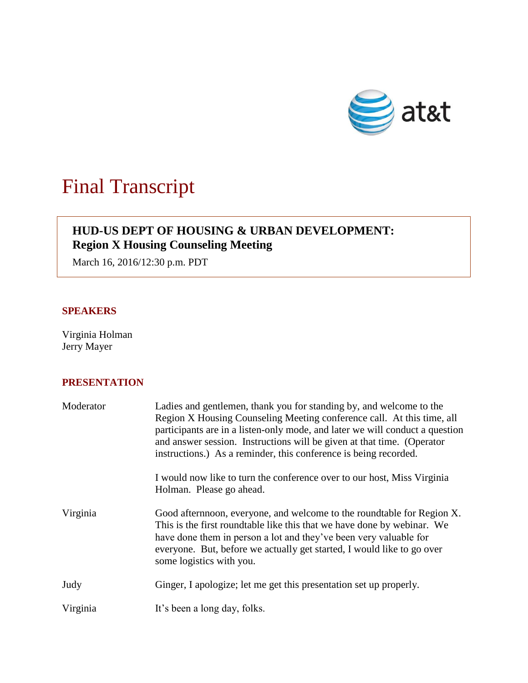

# Final Transcript

# **HUD-US DEPT OF HOUSING & URBAN DEVELOPMENT: Region X Housing Counseling Meeting**

March 16, 2016/12:30 p.m. PDT

### **SPEAKERS**

Virginia Holman Jerry Mayer

## **PRESENTATION**

| Moderator | Ladies and gentlemen, thank you for standing by, and welcome to the<br>Region X Housing Counseling Meeting conference call. At this time, all<br>participants are in a listen-only mode, and later we will conduct a question<br>and answer session. Instructions will be given at that time. (Operator<br>instructions.) As a reminder, this conference is being recorded. |
|-----------|-----------------------------------------------------------------------------------------------------------------------------------------------------------------------------------------------------------------------------------------------------------------------------------------------------------------------------------------------------------------------------|
|           | I would now like to turn the conference over to our host, Miss Virginia<br>Holman. Please go ahead.                                                                                                                                                                                                                                                                         |
| Virginia  | Good aftern noon, everyone, and welcome to the roundtable for Region X.<br>This is the first roundtable like this that we have done by webinar. We<br>have done them in person a lot and they've been very valuable for<br>everyone. But, before we actually get started, I would like to go over<br>some logistics with you.                                               |
| Judy      | Ginger, I apologize; let me get this presentation set up properly.                                                                                                                                                                                                                                                                                                          |
| Virginia  | It's been a long day, folks.                                                                                                                                                                                                                                                                                                                                                |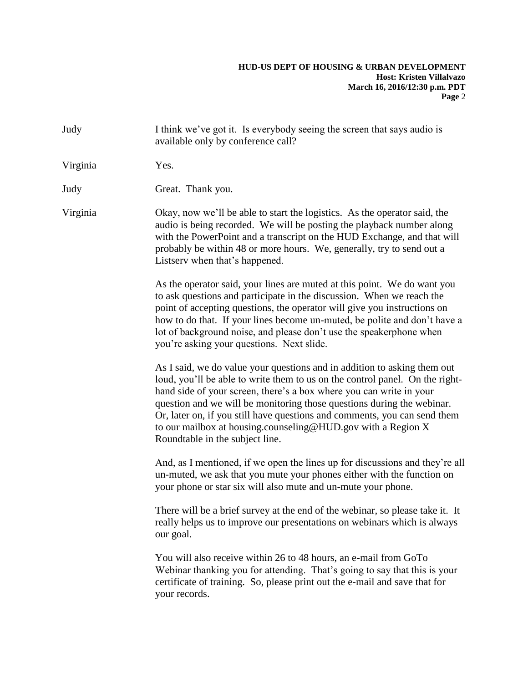| I think we've got it. Is everybody seeing the screen that says audio is<br>available only by conference call?                                                                                                                                                                                                                                                                                                                                                                             |
|-------------------------------------------------------------------------------------------------------------------------------------------------------------------------------------------------------------------------------------------------------------------------------------------------------------------------------------------------------------------------------------------------------------------------------------------------------------------------------------------|
| Yes.                                                                                                                                                                                                                                                                                                                                                                                                                                                                                      |
| Great. Thank you.                                                                                                                                                                                                                                                                                                                                                                                                                                                                         |
| Okay, now we'll be able to start the logistics. As the operator said, the<br>audio is being recorded. We will be posting the playback number along<br>with the PowerPoint and a transcript on the HUD Exchange, and that will<br>probably be within 48 or more hours. We, generally, try to send out a<br>Listserv when that's happened.                                                                                                                                                  |
| As the operator said, your lines are muted at this point. We do want you<br>to ask questions and participate in the discussion. When we reach the<br>point of accepting questions, the operator will give you instructions on<br>how to do that. If your lines become un-muted, be polite and don't have a<br>lot of background noise, and please don't use the speakerphone when<br>you're asking your questions. Next slide.                                                            |
| As I said, we do value your questions and in addition to asking them out<br>loud, you'll be able to write them to us on the control panel. On the right-<br>hand side of your screen, there's a box where you can write in your<br>question and we will be monitoring those questions during the webinar.<br>Or, later on, if you still have questions and comments, you can send them<br>to our mailbox at housing.counseling@HUD.gov with a Region X<br>Roundtable in the subject line. |
| And, as I mentioned, if we open the lines up for discussions and they're all<br>un-muted, we ask that you mute your phones either with the function on<br>your phone or star six will also mute and un-mute your phone.                                                                                                                                                                                                                                                                   |
| There will be a brief survey at the end of the webinar, so please take it. It<br>really helps us to improve our presentations on webinars which is always<br>our goal.                                                                                                                                                                                                                                                                                                                    |
| You will also receive within 26 to 48 hours, an e-mail from GoTo<br>Webinar thanking you for attending. That's going to say that this is your<br>certificate of training. So, please print out the e-mail and save that for<br>your records.                                                                                                                                                                                                                                              |
|                                                                                                                                                                                                                                                                                                                                                                                                                                                                                           |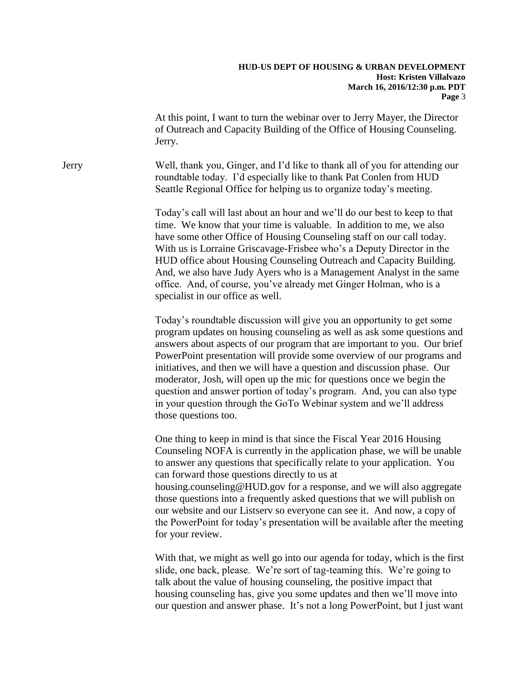At this point, I want to turn the webinar over to Jerry Mayer, the Director of Outreach and Capacity Building of the Office of Housing Counseling. Jerry.

Jerry Well, thank you, Ginger, and I'd like to thank all of you for attending our roundtable today. I'd especially like to thank Pat Conlen from HUD Seattle Regional Office for helping us to organize today's meeting.

> Today's call will last about an hour and we'll do our best to keep to that time. We know that your time is valuable. In addition to me, we also have some other Office of Housing Counseling staff on our call today. With us is Lorraine Griscavage-Frisbee who's a Deputy Director in the HUD office about Housing Counseling Outreach and Capacity Building. And, we also have Judy Ayers who is a Management Analyst in the same office. And, of course, you've already met Ginger Holman, who is a specialist in our office as well.

Today's roundtable discussion will give you an opportunity to get some program updates on housing counseling as well as ask some questions and answers about aspects of our program that are important to you. Our brief PowerPoint presentation will provide some overview of our programs and initiatives, and then we will have a question and discussion phase. Our moderator, Josh, will open up the mic for questions once we begin the question and answer portion of today's program. And, you can also type in your question through the GoTo Webinar system and we'll address those questions too.

One thing to keep in mind is that since the Fiscal Year 2016 Housing Counseling NOFA is currently in the application phase, we will be unable to answer any questions that specifically relate to your application. You can forward those questions directly to us at housing.counseling@HUD.gov for a response, and we will also aggregate those questions into a frequently asked questions that we will publish on our website and our Listserv so everyone can see it. And now, a copy of the PowerPoint for today's presentation will be available after the meeting for your review.

With that, we might as well go into our agenda for today, which is the first slide, one back, please. We're sort of tag-teaming this. We're going to talk about the value of housing counseling, the positive impact that housing counseling has, give you some updates and then we'll move into our question and answer phase. It's not a long PowerPoint, but I just want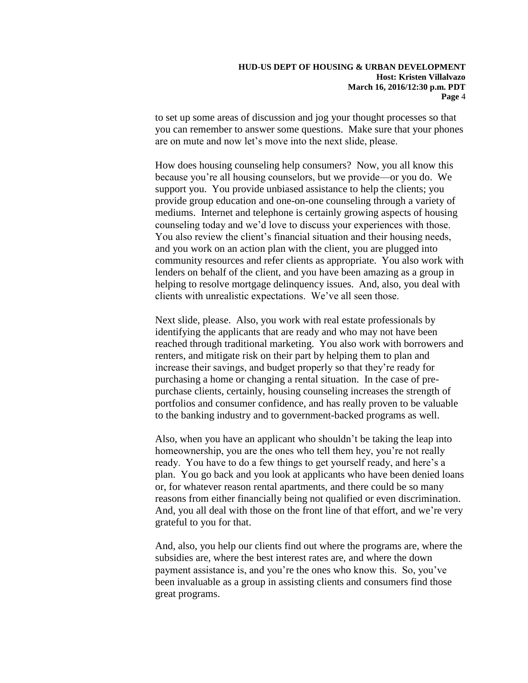to set up some areas of discussion and jog your thought processes so that you can remember to answer some questions. Make sure that your phones are on mute and now let's move into the next slide, please.

How does housing counseling help consumers? Now, you all know this because you're all housing counselors, but we provide—or you do. We support you. You provide unbiased assistance to help the clients; you provide group education and one-on-one counseling through a variety of mediums. Internet and telephone is certainly growing aspects of housing counseling today and we'd love to discuss your experiences with those. You also review the client's financial situation and their housing needs, and you work on an action plan with the client, you are plugged into community resources and refer clients as appropriate. You also work with lenders on behalf of the client, and you have been amazing as a group in helping to resolve mortgage delinquency issues. And, also, you deal with clients with unrealistic expectations. We've all seen those.

Next slide, please. Also, you work with real estate professionals by identifying the applicants that are ready and who may not have been reached through traditional marketing. You also work with borrowers and renters, and mitigate risk on their part by helping them to plan and increase their savings, and budget properly so that they're ready for purchasing a home or changing a rental situation. In the case of prepurchase clients, certainly, housing counseling increases the strength of portfolios and consumer confidence, and has really proven to be valuable to the banking industry and to government-backed programs as well.

Also, when you have an applicant who shouldn't be taking the leap into homeownership, you are the ones who tell them hey, you're not really ready. You have to do a few things to get yourself ready, and here's a plan. You go back and you look at applicants who have been denied loans or, for whatever reason rental apartments, and there could be so many reasons from either financially being not qualified or even discrimination. And, you all deal with those on the front line of that effort, and we're very grateful to you for that.

And, also, you help our clients find out where the programs are, where the subsidies are, where the best interest rates are, and where the down payment assistance is, and you're the ones who know this. So, you've been invaluable as a group in assisting clients and consumers find those great programs.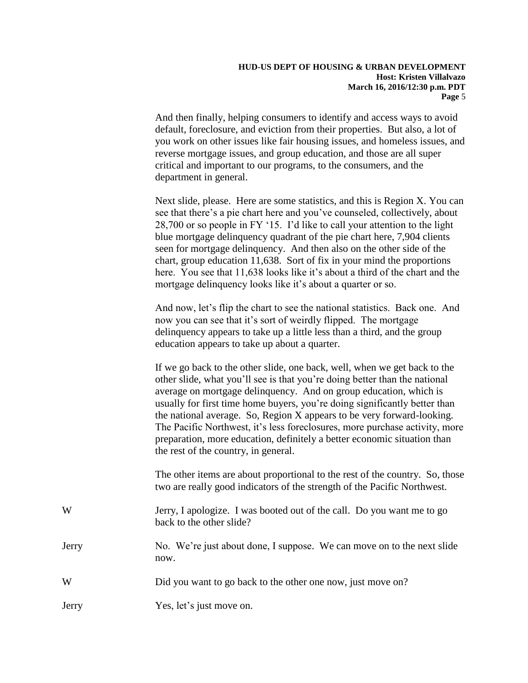And then finally, helping consumers to identify and access ways to avoid default, foreclosure, and eviction from their properties. But also, a lot of you work on other issues like fair housing issues, and homeless issues, and reverse mortgage issues, and group education, and those are all super critical and important to our programs, to the consumers, and the department in general.

Next slide, please. Here are some statistics, and this is Region X. You can see that there's a pie chart here and you've counseled, collectively, about 28,700 or so people in FY '15. I'd like to call your attention to the light blue mortgage delinquency quadrant of the pie chart here, 7,904 clients seen for mortgage delinquency. And then also on the other side of the chart, group education 11,638. Sort of fix in your mind the proportions here. You see that 11,638 looks like it's about a third of the chart and the mortgage delinquency looks like it's about a quarter or so.

And now, let's flip the chart to see the national statistics. Back one. And now you can see that it's sort of weirdly flipped. The mortgage delinquency appears to take up a little less than a third, and the group education appears to take up about a quarter.

If we go back to the other slide, one back, well, when we get back to the other slide, what you'll see is that you're doing better than the national average on mortgage delinquency. And on group education, which is usually for first time home buyers, you're doing significantly better than the national average. So, Region X appears to be very forward-looking. The Pacific Northwest, it's less foreclosures, more purchase activity, more preparation, more education, definitely a better economic situation than the rest of the country, in general.

The other items are about proportional to the rest of the country. So, those two are really good indicators of the strength of the Pacific Northwest.

- W Jerry, I apologize. I was booted out of the call. Do you want me to go back to the other slide?
- Jerry No. We're just about done, I suppose. We can move on to the next slide now.
- W Did you want to go back to the other one now, just move on?
- Jerry Yes, let's just move on.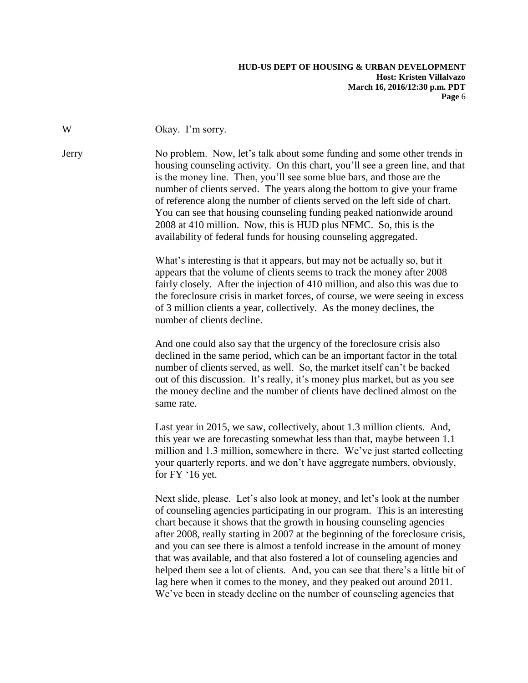W Okay. I'm sorry.

Jerry No problem. Now, let's talk about some funding and some other trends in housing counseling activity. On this chart, you'll see a green line, and that is the money line. Then, you'll see some blue bars, and those are the number of clients served. The years along the bottom to give your frame of reference along the number of clients served on the left side of chart. You can see that housing counseling funding peaked nationwide around 2008 at 410 million. Now, this is HUD plus NFMC. So, this is the availability of federal funds for housing counseling aggregated.

> What's interesting is that it appears, but may not be actually so, but it appears that the volume of clients seems to track the money after 2008 fairly closely. After the injection of 410 million, and also this was due to the foreclosure crisis in market forces, of course, we were seeing in excess of 3 million clients a year, collectively. As the money declines, the number of clients decline.

And one could also say that the urgency of the foreclosure crisis also declined in the same period, which can be an important factor in the total number of clients served, as well. So, the market itself can't be backed out of this discussion. It's really, it's money plus market, but as you see the money decline and the number of clients have declined almost on the same rate.

Last year in 2015, we saw, collectively, about 1.3 million clients. And, this year we are forecasting somewhat less than that, maybe between 1.1 million and 1.3 million, somewhere in there. We've just started collecting your quarterly reports, and we don't have aggregate numbers, obviously, for FY '16 yet.

Next slide, please. Let's also look at money, and let's look at the number of counseling agencies participating in our program. This is an interesting chart because it shows that the growth in housing counseling agencies after 2008, really starting in 2007 at the beginning of the foreclosure crisis, and you can see there is almost a tenfold increase in the amount of money that was available, and that also fostered a lot of counseling agencies and helped them see a lot of clients. And, you can see that there's a little bit of lag here when it comes to the money, and they peaked out around 2011. We've been in steady decline on the number of counseling agencies that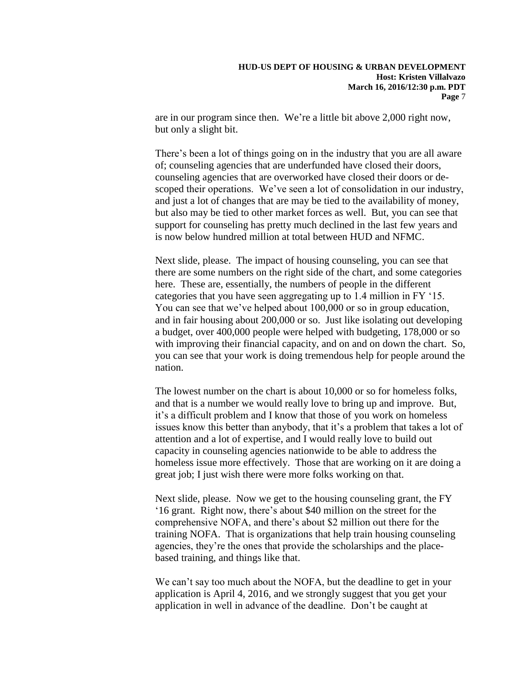are in our program since then. We're a little bit above 2,000 right now, but only a slight bit.

There's been a lot of things going on in the industry that you are all aware of; counseling agencies that are underfunded have closed their doors, counseling agencies that are overworked have closed their doors or descoped their operations. We've seen a lot of consolidation in our industry, and just a lot of changes that are may be tied to the availability of money, but also may be tied to other market forces as well. But, you can see that support for counseling has pretty much declined in the last few years and is now below hundred million at total between HUD and NFMC.

Next slide, please. The impact of housing counseling, you can see that there are some numbers on the right side of the chart, and some categories here. These are, essentially, the numbers of people in the different categories that you have seen aggregating up to 1.4 million in FY '15. You can see that we've helped about 100,000 or so in group education, and in fair housing about 200,000 or so. Just like isolating out developing a budget, over 400,000 people were helped with budgeting, 178,000 or so with improving their financial capacity, and on and on down the chart. So, you can see that your work is doing tremendous help for people around the nation.

The lowest number on the chart is about 10,000 or so for homeless folks, and that is a number we would really love to bring up and improve. But, it's a difficult problem and I know that those of you work on homeless issues know this better than anybody, that it's a problem that takes a lot of attention and a lot of expertise, and I would really love to build out capacity in counseling agencies nationwide to be able to address the homeless issue more effectively. Those that are working on it are doing a great job; I just wish there were more folks working on that.

Next slide, please. Now we get to the housing counseling grant, the FY '16 grant. Right now, there's about \$40 million on the street for the comprehensive NOFA, and there's about \$2 million out there for the training NOFA. That is organizations that help train housing counseling agencies, they're the ones that provide the scholarships and the placebased training, and things like that.

We can't say too much about the NOFA, but the deadline to get in your application is April 4, 2016, and we strongly suggest that you get your application in well in advance of the deadline. Don't be caught at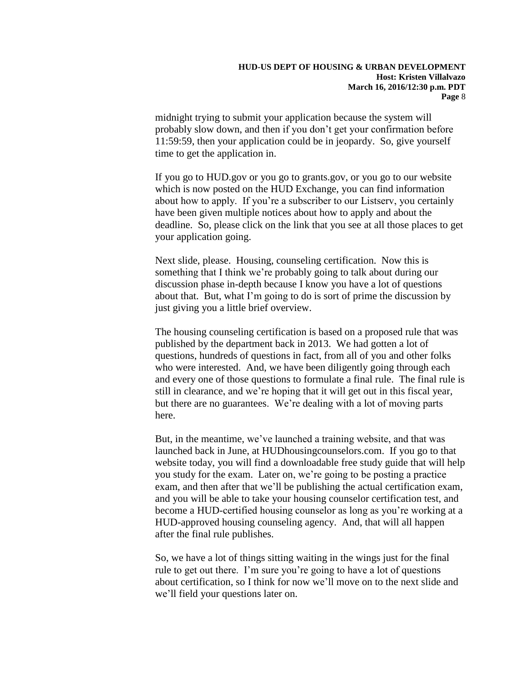midnight trying to submit your application because the system will probably slow down, and then if you don't get your confirmation before 11:59:59, then your application could be in jeopardy. So, give yourself time to get the application in.

If you go to HUD.gov or you go to grants.gov, or you go to our website which is now posted on the HUD Exchange, you can find information about how to apply. If you're a subscriber to our Listserv, you certainly have been given multiple notices about how to apply and about the deadline. So, please click on the link that you see at all those places to get your application going.

Next slide, please. Housing, counseling certification. Now this is something that I think we're probably going to talk about during our discussion phase in-depth because I know you have a lot of questions about that. But, what I'm going to do is sort of prime the discussion by just giving you a little brief overview.

The housing counseling certification is based on a proposed rule that was published by the department back in 2013. We had gotten a lot of questions, hundreds of questions in fact, from all of you and other folks who were interested. And, we have been diligently going through each and every one of those questions to formulate a final rule. The final rule is still in clearance, and we're hoping that it will get out in this fiscal year, but there are no guarantees. We're dealing with a lot of moving parts here.

But, in the meantime, we've launched a training website, and that was launched back in June, at HUDhousingcounselors.com. If you go to that website today, you will find a downloadable free study guide that will help you study for the exam. Later on, we're going to be posting a practice exam, and then after that we'll be publishing the actual certification exam, and you will be able to take your housing counselor certification test, and become a HUD-certified housing counselor as long as you're working at a HUD-approved housing counseling agency. And, that will all happen after the final rule publishes.

So, we have a lot of things sitting waiting in the wings just for the final rule to get out there. I'm sure you're going to have a lot of questions about certification, so I think for now we'll move on to the next slide and we'll field your questions later on.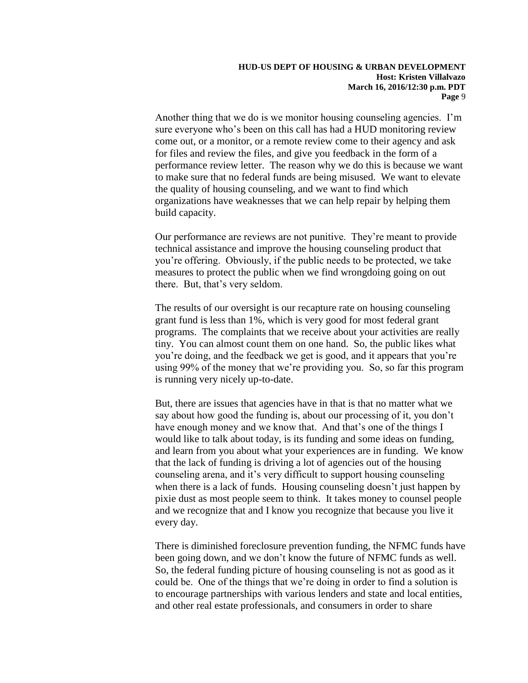Another thing that we do is we monitor housing counseling agencies. I'm sure everyone who's been on this call has had a HUD monitoring review come out, or a monitor, or a remote review come to their agency and ask for files and review the files, and give you feedback in the form of a performance review letter. The reason why we do this is because we want to make sure that no federal funds are being misused. We want to elevate the quality of housing counseling, and we want to find which organizations have weaknesses that we can help repair by helping them build capacity.

Our performance are reviews are not punitive. They're meant to provide technical assistance and improve the housing counseling product that you're offering. Obviously, if the public needs to be protected, we take measures to protect the public when we find wrongdoing going on out there. But, that's very seldom.

The results of our oversight is our recapture rate on housing counseling grant fund is less than 1%, which is very good for most federal grant programs. The complaints that we receive about your activities are really tiny. You can almost count them on one hand. So, the public likes what you're doing, and the feedback we get is good, and it appears that you're using 99% of the money that we're providing you. So, so far this program is running very nicely up-to-date.

But, there are issues that agencies have in that is that no matter what we say about how good the funding is, about our processing of it, you don't have enough money and we know that. And that's one of the things I would like to talk about today, is its funding and some ideas on funding, and learn from you about what your experiences are in funding. We know that the lack of funding is driving a lot of agencies out of the housing counseling arena, and it's very difficult to support housing counseling when there is a lack of funds. Housing counseling doesn't just happen by pixie dust as most people seem to think. It takes money to counsel people and we recognize that and I know you recognize that because you live it every day.

There is diminished foreclosure prevention funding, the NFMC funds have been going down, and we don't know the future of NFMC funds as well. So, the federal funding picture of housing counseling is not as good as it could be. One of the things that we're doing in order to find a solution is to encourage partnerships with various lenders and state and local entities, and other real estate professionals, and consumers in order to share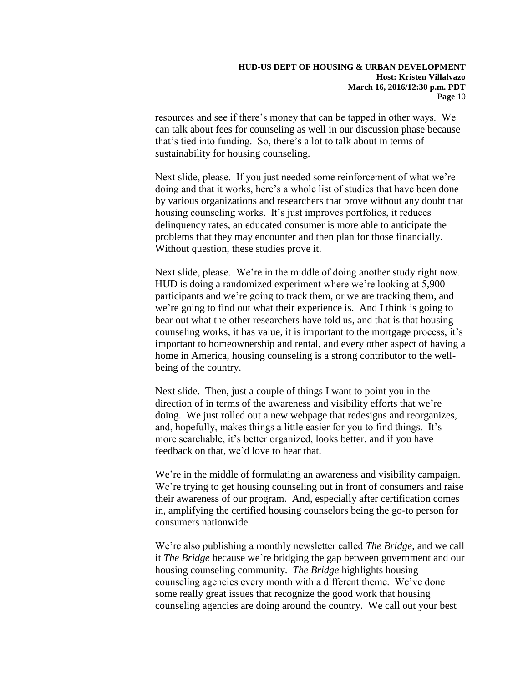resources and see if there's money that can be tapped in other ways. We can talk about fees for counseling as well in our discussion phase because that's tied into funding. So, there's a lot to talk about in terms of sustainability for housing counseling.

Next slide, please. If you just needed some reinforcement of what we're doing and that it works, here's a whole list of studies that have been done by various organizations and researchers that prove without any doubt that housing counseling works. It's just improves portfolios, it reduces delinquency rates, an educated consumer is more able to anticipate the problems that they may encounter and then plan for those financially. Without question, these studies prove it.

Next slide, please. We're in the middle of doing another study right now. HUD is doing a randomized experiment where we're looking at 5,900 participants and we're going to track them, or we are tracking them, and we're going to find out what their experience is. And I think is going to bear out what the other researchers have told us, and that is that housing counseling works, it has value, it is important to the mortgage process, it's important to homeownership and rental, and every other aspect of having a home in America, housing counseling is a strong contributor to the wellbeing of the country.

Next slide. Then, just a couple of things I want to point you in the direction of in terms of the awareness and visibility efforts that we're doing. We just rolled out a new webpage that redesigns and reorganizes, and, hopefully, makes things a little easier for you to find things. It's more searchable, it's better organized, looks better, and if you have feedback on that, we'd love to hear that.

We're in the middle of formulating an awareness and visibility campaign. We're trying to get housing counseling out in front of consumers and raise their awareness of our program. And, especially after certification comes in, amplifying the certified housing counselors being the go-to person for consumers nationwide.

We're also publishing a monthly newsletter called *The Bridge*, and we call it *The Bridge* because we're bridging the gap between government and our housing counseling community. *The Bridge* highlights housing counseling agencies every month with a different theme. We've done some really great issues that recognize the good work that housing counseling agencies are doing around the country. We call out your best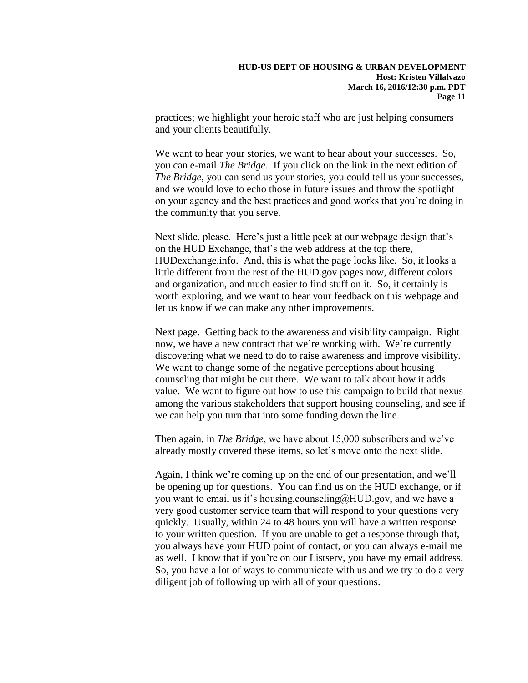practices; we highlight your heroic staff who are just helping consumers and your clients beautifully.

We want to hear your stories, we want to hear about your successes. So, you can e-mail *The Bridge*. If you click on the link in the next edition of *The Bridge*, you can send us your stories, you could tell us your successes, and we would love to echo those in future issues and throw the spotlight on your agency and the best practices and good works that you're doing in the community that you serve.

Next slide, please. Here's just a little peek at our webpage design that's on the HUD Exchange, that's the web address at the top there, HUDexchange.info. And, this is what the page looks like. So, it looks a little different from the rest of the HUD.gov pages now, different colors and organization, and much easier to find stuff on it. So, it certainly is worth exploring, and we want to hear your feedback on this webpage and let us know if we can make any other improvements.

Next page. Getting back to the awareness and visibility campaign. Right now, we have a new contract that we're working with. We're currently discovering what we need to do to raise awareness and improve visibility. We want to change some of the negative perceptions about housing counseling that might be out there. We want to talk about how it adds value. We want to figure out how to use this campaign to build that nexus among the various stakeholders that support housing counseling, and see if we can help you turn that into some funding down the line.

Then again, in *The Bridge*, we have about 15,000 subscribers and we've already mostly covered these items, so let's move onto the next slide.

Again, I think we're coming up on the end of our presentation, and we'll be opening up for questions. You can find us on the HUD exchange, or if you want to email us it's housing.counseling@HUD.gov, and we have a very good customer service team that will respond to your questions very quickly. Usually, within 24 to 48 hours you will have a written response to your written question. If you are unable to get a response through that, you always have your HUD point of contact, or you can always e-mail me as well. I know that if you're on our Listserv, you have my email address. So, you have a lot of ways to communicate with us and we try to do a very diligent job of following up with all of your questions.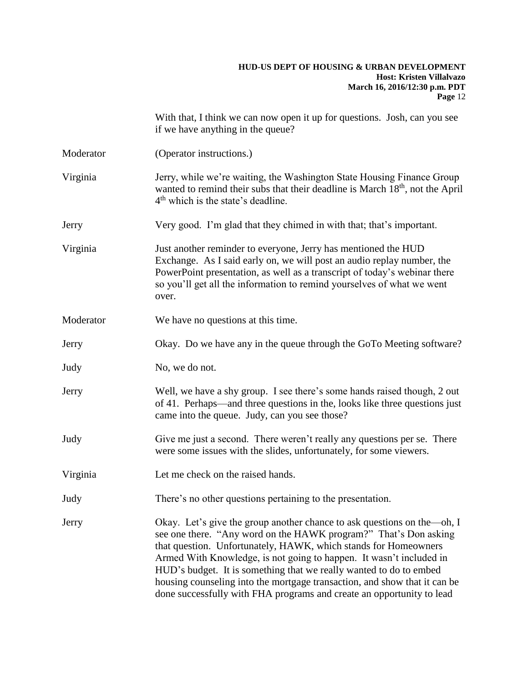With that, I think we can now open it up for questions. Josh, can you see if we have anything in the queue?

- Moderator (Operator instructions.)
- Virginia Jerry, while we're waiting, the Washington State Housing Finance Group wanted to remind their subs that their deadline is March 18<sup>th</sup>, not the April 4<sup>th</sup> which is the state's deadline.
- Jerry Very good. I'm glad that they chimed in with that; that's important.
- Virginia Just another reminder to everyone, Jerry has mentioned the HUD Exchange. As I said early on, we will post an audio replay number, the PowerPoint presentation, as well as a transcript of today's webinar there so you'll get all the information to remind yourselves of what we went over.
- Moderator We have no questions at this time.
- Jerry Okay. Do we have any in the queue through the GoTo Meeting software?
- Judy No, we do not.
- Jerry Well, we have a shy group. I see there's some hands raised though, 2 out of 41. Perhaps—and three questions in the, looks like three questions just came into the queue. Judy, can you see those?
- Judy Give me just a second. There weren't really any questions per se. There were some issues with the slides, unfortunately, for some viewers.
- Virginia Let me check on the raised hands.
- Judy There's no other questions pertaining to the presentation.
- Jerry Okay. Let's give the group another chance to ask questions on the—oh, I see one there. "Any word on the HAWK program?" That's Don asking that question. Unfortunately, HAWK, which stands for Homeowners Armed With Knowledge, is not going to happen. It wasn't included in HUD's budget. It is something that we really wanted to do to embed housing counseling into the mortgage transaction, and show that it can be done successfully with FHA programs and create an opportunity to lead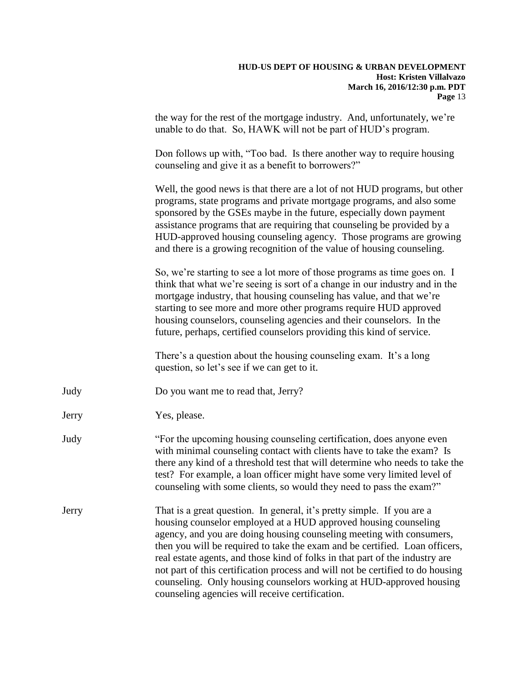the way for the rest of the mortgage industry. And, unfortunately, we're unable to do that. So, HAWK will not be part of HUD's program.

Don follows up with, "Too bad. Is there another way to require housing counseling and give it as a benefit to borrowers?"

Well, the good news is that there are a lot of not HUD programs, but other programs, state programs and private mortgage programs, and also some sponsored by the GSEs maybe in the future, especially down payment assistance programs that are requiring that counseling be provided by a HUD-approved housing counseling agency. Those programs are growing and there is a growing recognition of the value of housing counseling.

So, we're starting to see a lot more of those programs as time goes on. I think that what we're seeing is sort of a change in our industry and in the mortgage industry, that housing counseling has value, and that we're starting to see more and more other programs require HUD approved housing counselors, counseling agencies and their counselors. In the future, perhaps, certified counselors providing this kind of service.

There's a question about the housing counseling exam. It's a long question, so let's see if we can get to it.

- Judy Do you want me to read that, Jerry?
- Jerry Yes, please.
- Judy "For the upcoming housing counseling certification, does anyone even with minimal counseling contact with clients have to take the exam? Is there any kind of a threshold test that will determine who needs to take the test? For example, a loan officer might have some very limited level of counseling with some clients, so would they need to pass the exam?"
- Jerry That is a great question. In general, it's pretty simple. If you are a housing counselor employed at a HUD approved housing counseling agency, and you are doing housing counseling meeting with consumers, then you will be required to take the exam and be certified. Loan officers, real estate agents, and those kind of folks in that part of the industry are not part of this certification process and will not be certified to do housing counseling. Only housing counselors working at HUD-approved housing counseling agencies will receive certification.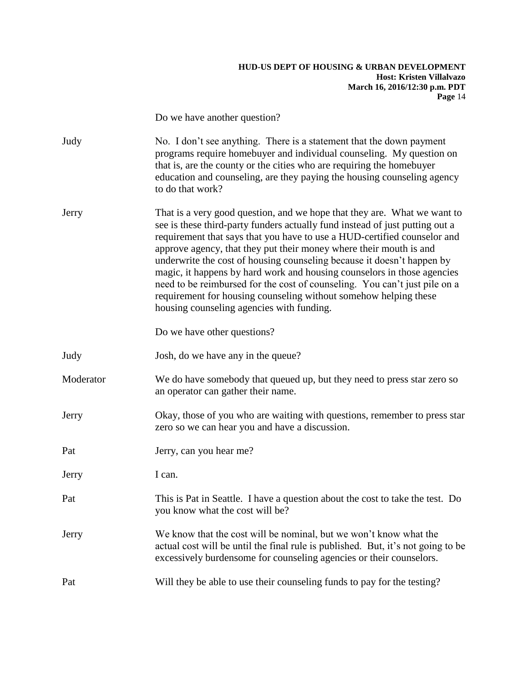Do we have another question? Judy No. I don't see anything. There is a statement that the down payment programs require homebuyer and individual counseling. My question on that is, are the county or the cities who are requiring the homebuyer education and counseling, are they paying the housing counseling agency to do that work? Jerry That is a very good question, and we hope that they are. What we want to see is these third-party funders actually fund instead of just putting out a requirement that says that you have to use a HUD-certified counselor and approve agency, that they put their money where their mouth is and underwrite the cost of housing counseling because it doesn't happen by magic, it happens by hard work and housing counselors in those agencies need to be reimbursed for the cost of counseling. You can't just pile on a requirement for housing counseling without somehow helping these housing counseling agencies with funding. Do we have other questions? Judy Josh, do we have any in the queue? Moderator We do have somebody that queued up, but they need to press star zero so an operator can gather their name. Jerry Okay, those of you who are waiting with questions, remember to press star zero so we can hear you and have a discussion. Pat Jerry, can you hear me? Jerry I can. Pat This is Pat in Seattle. I have a question about the cost to take the test. Do you know what the cost will be? Jerry We know that the cost will be nominal, but we won't know what the actual cost will be until the final rule is published. But, it's not going to be excessively burdensome for counseling agencies or their counselors. Pat Will they be able to use their counseling funds to pay for the testing?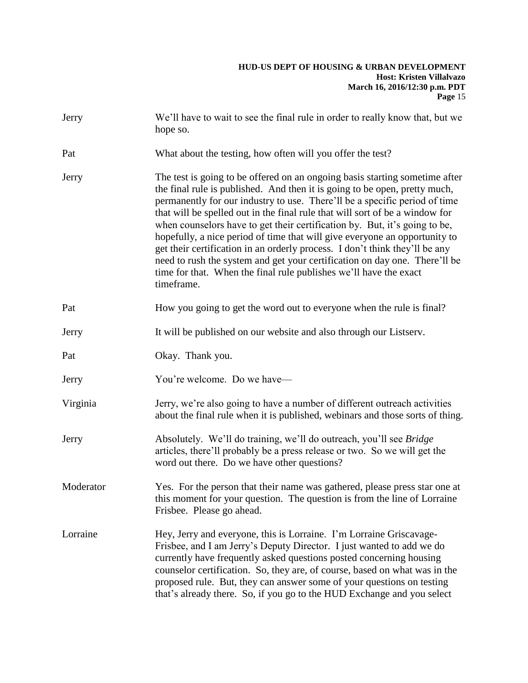| Jerry     | We'll have to wait to see the final rule in order to really know that, but we<br>hope so.                                                                                                                                                                                                                                                                                                                                                                                                                                                                                                                                                                                                                                           |
|-----------|-------------------------------------------------------------------------------------------------------------------------------------------------------------------------------------------------------------------------------------------------------------------------------------------------------------------------------------------------------------------------------------------------------------------------------------------------------------------------------------------------------------------------------------------------------------------------------------------------------------------------------------------------------------------------------------------------------------------------------------|
| Pat       | What about the testing, how often will you offer the test?                                                                                                                                                                                                                                                                                                                                                                                                                                                                                                                                                                                                                                                                          |
| Jerry     | The test is going to be offered on an ongoing basis starting sometime after<br>the final rule is published. And then it is going to be open, pretty much,<br>permanently for our industry to use. There'll be a specific period of time<br>that will be spelled out in the final rule that will sort of be a window for<br>when counselors have to get their certification by. But, it's going to be,<br>hopefully, a nice period of time that will give everyone an opportunity to<br>get their certification in an orderly process. I don't think they'll be any<br>need to rush the system and get your certification on day one. There'll be<br>time for that. When the final rule publishes we'll have the exact<br>timeframe. |
| Pat       | How you going to get the word out to everyone when the rule is final?                                                                                                                                                                                                                                                                                                                                                                                                                                                                                                                                                                                                                                                               |
| Jerry     | It will be published on our website and also through our Listserv.                                                                                                                                                                                                                                                                                                                                                                                                                                                                                                                                                                                                                                                                  |
| Pat       | Okay. Thank you.                                                                                                                                                                                                                                                                                                                                                                                                                                                                                                                                                                                                                                                                                                                    |
| Jerry     | You're welcome. Do we have—                                                                                                                                                                                                                                                                                                                                                                                                                                                                                                                                                                                                                                                                                                         |
| Virginia  | Jerry, we're also going to have a number of different outreach activities<br>about the final rule when it is published, webinars and those sorts of thing.                                                                                                                                                                                                                                                                                                                                                                                                                                                                                                                                                                          |
| Jerry     | Absolutely. We'll do training, we'll do outreach, you'll see Bridge<br>articles, there'll probably be a press release or two. So we will get the<br>word out there. Do we have other questions?                                                                                                                                                                                                                                                                                                                                                                                                                                                                                                                                     |
| Moderator | Yes. For the person that their name was gathered, please press star one at<br>this moment for your question. The question is from the line of Lorraine<br>Frisbee. Please go ahead.                                                                                                                                                                                                                                                                                                                                                                                                                                                                                                                                                 |
| Lorraine  | Hey, Jerry and everyone, this is Lorraine. I'm Lorraine Griscavage-<br>Frisbee, and I am Jerry's Deputy Director. I just wanted to add we do<br>currently have frequently asked questions posted concerning housing<br>counselor certification. So, they are, of course, based on what was in the<br>proposed rule. But, they can answer some of your questions on testing<br>that's already there. So, if you go to the HUD Exchange and you select                                                                                                                                                                                                                                                                                |